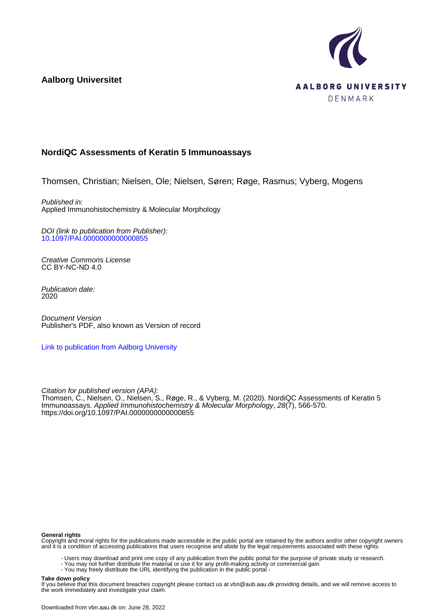**Aalborg Universitet**



## **NordiQC Assessments of Keratin 5 Immunoassays**

Thomsen, Christian; Nielsen, Ole; Nielsen, Søren; Røge, Rasmus; Vyberg, Mogens

Published in: Applied Immunohistochemistry & Molecular Morphology

DOI (link to publication from Publisher): [10.1097/PAI.0000000000000855](https://doi.org/10.1097/PAI.0000000000000855)

Creative Commons License CC BY-NC-ND 4.0

Publication date: 2020

Document Version Publisher's PDF, also known as Version of record

[Link to publication from Aalborg University](https://vbn.aau.dk/en/publications/f7b8058f-0afa-4361-baaf-26498dbb184c)

Citation for published version (APA): Thomsen, C., Nielsen, O., Nielsen, S., Røge, R., & Vyberg, M. (2020). NordiQC Assessments of Keratin 5 Immunoassays. Applied Immunohistochemistry & Molecular Morphology, 28(7), 566-570. <https://doi.org/10.1097/PAI.0000000000000855>

#### **General rights**

Copyright and moral rights for the publications made accessible in the public portal are retained by the authors and/or other copyright owners and it is a condition of accessing publications that users recognise and abide by the legal requirements associated with these rights.

- Users may download and print one copy of any publication from the public portal for the purpose of private study or research.
- You may not further distribute the material or use it for any profit-making activity or commercial gain
- You may freely distribute the URL identifying the publication in the public portal -

#### **Take down policy**

If you believe that this document breaches copyright please contact us at vbn@aub.aau.dk providing details, and we will remove access to the work immediately and investigate your claim.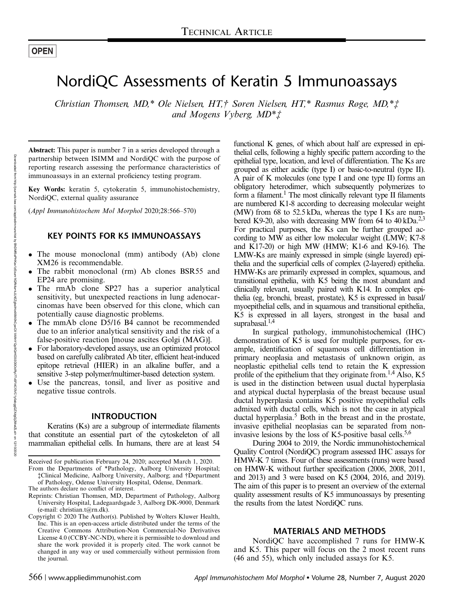# NordiQC Assessments of Keratin 5 Immunoassays

Christian Thomsen, MD,\* Ole Nielsen, HT,† Søren Nielsen, HT,\* Rasmus Røge, MD,\*‡ and Mogens Vyberg, MD\*‡

Abstract: This paper is number 7 in a series developed through a partnership between ISIMM and NordiQC with the purpose of reporting research assessing the performance characteristics of immunoassays in an external proficiency testing program.

Key Words: keratin 5, cytokeratin 5, immunohistochemistry, NordiQC, external quality assurance

(Appl Immunohistochem Mol Morphol 2020;28:566–570)

### KEY POINTS FOR K5 IMMUNOASSAYS

- The mouse monoclonal (mm) antibody (Ab) clone XM26 is recommendable.
- The rabbit monoclonal (rm) Ab clones BSR55 and EP24 are promising.
- The rmAb clone SP27 has a superior analytical sensitivity, but unexpected reactions in lung adenocarcinomas have been observed for this clone, which can potentially cause diagnostic problems.
- The mmAb clone D5/16 B4 cannot be recommended due to an inferior analytical sensitivity and the risk of a false-positive reaction [mouse ascites Golgi (MAG)].
- For laboratory-developed assays, use an optimized protocol based on carefully calibrated Ab titer, efficient heat-induced epitope retrieval (HIER) in an alkaline buffer, and a sensitive 3-step polymer/multimer-based detection system.
- Use the pancreas, tonsil, and liver as positive and negative tissue controls.

### INTRODUCTION

Keratins (Ks) are a subgroup of intermediate filaments that constitute an essential part of the cytoskeleton of all mammalian epithelial cells. In humans, there are at least 54

- From the Departments of \*Pathology, Aalborg University Hospital; ‡Clinical Medicine, Aalborg University, Aalborg; and †Department of Pathology, Odense University Hospital, Odense, Denmark.
- The authors declare no conflict of interest.
- Reprints: Christian Thomsen, MD, Department of Pathology, Aalborg University Hospital, Ladegaardsgade 3, Aalborg DK-9000, Denmark (e-mail: [christian.t@rn.dk\)](mailto:christian.t@rn.dk).
- Copyright © 2020 The Author(s). Published by Wolters Kluwer Health, Inc. This is an open-access article distributed under the terms of the [Creative Commons Attribution-Non Commercial-No Derivatives](http://creativecommons.org/licenses/by-nc-nd/4.0/) [License 4.0](http://creativecommons.org/licenses/by-nc-nd/4.0/) (CCBY-NC-ND), where it is permissible to download and share the work provided it is properly cited. The work cannot be changed in any way or used commercially without permission from the journal.

functional K genes, of which about half are expressed in epithelial cells, following a highly specific pattern according to the epithelial type, location, and level of differentiation. The Ks are grouped as either acidic (type I) or basic-to-neutral (type II). A pair of K molecules (one type I and one type II) forms an obligatory heterodimer, which subsequently polymerizes to form a filament.<sup>1</sup> The most clinically relevant type II filaments are numbered K1-8 according to decreasing molecular weight (MW) from 68 to 52.5 kDa, whereas the type I Ks are numbered K9-20, also with decreasing MW from 64 to 40 kDa.<sup>2,3</sup> For practical purposes, the Ks can be further grouped according to MW as either low molecular weight (LMW; K7-8 and K17-20) or high MW (HMW; K1-6 and K9-16). The LMW-Ks are mainly expressed in simple (single layered) epithelia and the superficial cells of complex (2-layered) epithelia. HMW-Ks are primarily expressed in complex, squamous, and transitional epithelia, with K5 being the most abundant and clinically relevant, usually paired with K14. In complex epithelia (eg, bronchi, breast, prostate), K5 is expressed in basal/ myoepithelial cells, and in squamous and transitional epithelia, K5 is expressed in all layers, strongest in the basal and suprabasal. $^{1,4}$ 

In surgical pathology, immunohistochemical (IHC) demonstration of K5 is used for multiple purposes, for example, identification of squamous cell differentiation in primary neoplasia and metastasis of unknown origin, as neoplastic epithelial cells tend to retain the K expression profile of the epithelium that they originate from.<sup>1,4</sup> Also, K5 is used in the distinction between usual ductal hyperplasia and atypical ductal hyperplasia of the breast because usual ductal hyperplasia contains K5 positive myoepithelial cells admixed with ductal cells, which is not the case in atypical ductal hyperplasia.5 Both in the breast and in the prostate, invasive epithelial neoplasias can be separated from noninvasive lesions by the loss of K5-positive basal cells.<sup>5,6</sup>

During 2004 to 2019, the Nordic immunohistochemical Quality Control (NordiQC) program assessed IHC assays for HMW-K 7 times. Four of these assessments (runs) were based on HMW-K without further specification (2006, 2008, 2011, and 2013) and 3 were based on K5 (2004, 2016, and 2019). The aim of this paper is to present an overview of the external quality assessment results of K5 immunoassays by presenting the results from the latest NordiQC runs.

#### MATERIALS AND METHODS

NordiQC have accomplished 7 runs for HMW-K and K5. This paper will focus on the 2 most recent runs (46 and 55), which only included assays for K5.

Received for publication February 24, 2020; accepted March 1, 2020.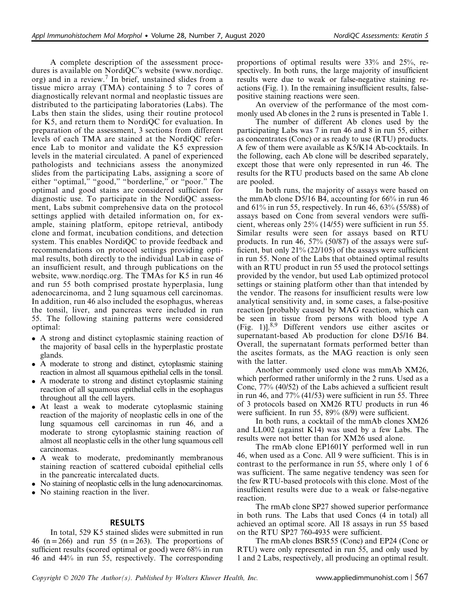A complete description of the assessment procedures is available on NordiQC's website [\(www.nordiqc.](http://www.nordiqc.org) [org](http://www.nordiqc.org)) and in a review.<sup>7</sup> In brief, unstained slides from a tissue micro array (TMA) containing 5 to 7 cores of diagnostically relevant normal and neoplastic tissues are distributed to the participating laboratories (Labs). The Labs then stain the slides, using their routine protocol for K5, and return them to NordiQC for evaluation. In preparation of the assessment, 3 sections from different levels of each TMA are stained at the NordiQC reference Lab to monitor and validate the K5 expression levels in the material circulated. A panel of experienced pathologists and technicians assess the anonymized slides from the participating Labs, assigning a score of either "optimal," "good," "borderline," or "poor." The optimal and good stains are considered sufficient for diagnostic use. To participate in the NordiQC assessment, Labs submit comprehensive data on the protocol settings applied with detailed information on, for example, staining platform, epitope retrieval, antibody clone and format, incubation conditions, and detection system. This enables NordiQC to provide feedback and recommendations on protocol settings providing optimal results, both directly to the individual Lab in case of an insufficient result, and through publications on the website, [www.nordiqc.org.](http://www.nordiqc.org) The TMAs for K5 in run 46 and run 55 both comprised prostate hyperplasia, lung adenocarcinoma, and 2 lung squamous cell carcinomas. In addition, run 46 also included the esophagus, whereas the tonsil, liver, and pancreas were included in run 55. The following staining patterns were considered optimal:

- A strong and distinct cytoplasmic staining reaction of the majority of basal cells in the hyperplastic prostate glands.
- A moderate to strong and distinct, cytoplasmic staining reaction in almost all squamous epithelial cells in the tonsil.
- A moderate to strong and distinct cytoplasmic staining reaction of all squamous epithelial cells in the esophagus throughout all the cell layers.
- At least a weak to moderate cytoplasmic staining reaction of the majority of neoplastic cells in one of the lung squamous cell carcinomas in run 46, and a moderate to strong cytoplasmic staining reaction of almost all neoplastic cells in the other lung squamous cell carcinomas.
- A weak to moderate, predominantly membranous staining reaction of scattered cuboidal epithelial cells in the pancreatic intercalated ducts.
- No staining of neoplastic cells in the lung adenocarcinomas.
- No staining reaction in the liver.

## RESULTS

In total, 529 K5 stained slides were submitted in run 46 (n = 266) and run 55 (n = 263). The proportions of sufficient results (scored optimal or good) were 68% in run 46 and 44% in run 55, respectively. The corresponding proportions of optimal results were 33% and 25%, respectively. In both runs, the large majority of insufficient results were due to weak or false-negative staining reactions (Fig. 1). In the remaining insufficient results, falsepositive staining reactions were seen.

An overview of the performance of the most commonly used Ab clones in the 2 runs is presented in Table 1.

The number of different Ab clones used by the participating Labs was 7 in run 46 and 8 in run 55, either as concentrates (Conc) or as ready to use (RTU) products. A few of them were available as K5/K14 Ab-cocktails. In the following, each Ab clone will be described separately, except those that were only represented in run 46. The results for the RTU products based on the same Ab clone are pooled.

In both runs, the majority of assays were based on the mmAb clone D5/16 B4, accounting for 66% in run 46 and 61% in run 55, respectively. In run 46, 63% (55/88) of assays based on Conc from several vendors were sufficient, whereas only 25% (14/55) were sufficient in run 55. Similar results were seen for assays based on RTU products. In run 46, 57% (50/87) of the assays were sufficient, but only 21% (22/105) of the assays were sufficient in run 55. None of the Labs that obtained optimal results with an RTU product in run 55 used the protocol settings provided by the vendor, but used Lab optimized protocol settings or staining platform other than that intended by the vendor. The reasons for insufficient results were low analytical sensitivity and, in some cases, a false-positive reaction [probably caused by MAG reaction, which can be seen in tissue from persons with blood type A (Fig. 1) $l^{8,9}$  Different vendors use either ascites or supernatant-based Ab production for clone D5/16 B4. Overall, the supernatant formats performed better than the ascites formats, as the MAG reaction is only seen with the latter.

Another commonly used clone was mmAb XM26, which performed rather uniformly in the 2 runs. Used as a Conc, 77% (40/52) of the Labs achieved a sufficient result in run 46, and 77% (41/53) were sufficient in run 55. Three of 3 protocols based on XM26 RTU products in run 46 were sufficient. In run 55, 89% (8/9) were sufficient.

In both runs, a cocktail of the mmAb clones XM26 and LL002 (against K14) was used by a few Labs. The results were not better than for XM26 used alone.

The rmAb clone EP1601Y performed well in run 46, when used as a Conc. All 9 were sufficient. This is in contrast to the performance in run 55, where only 1 of 6 was sufficient. The same negative tendency was seen for the few RTU-based protocols with this clone. Most of the insufficient results were due to a weak or false-negative reaction.

The rmAb clone SP27 showed superior performance in both runs. The Labs that used Concs (4 in total) all achieved an optimal score. All 18 assays in run 55 based on the RTU SP27 760-4935 were sufficient.

The rmAb clones BSR55 (Conc) and EP24 (Conc or RTU) were only represented in run 55, and only used by 1 and 2 Labs, respectively, all producing an optimal result.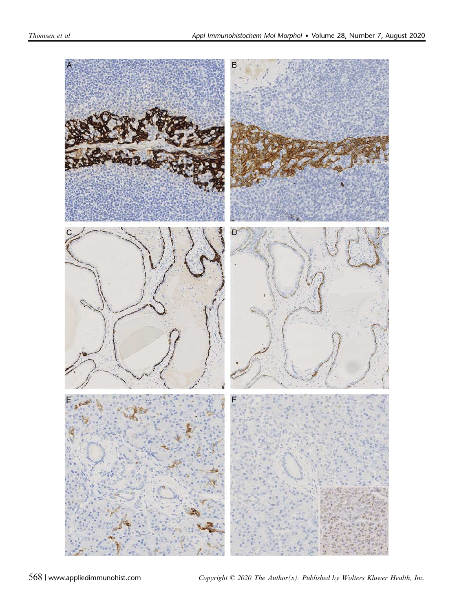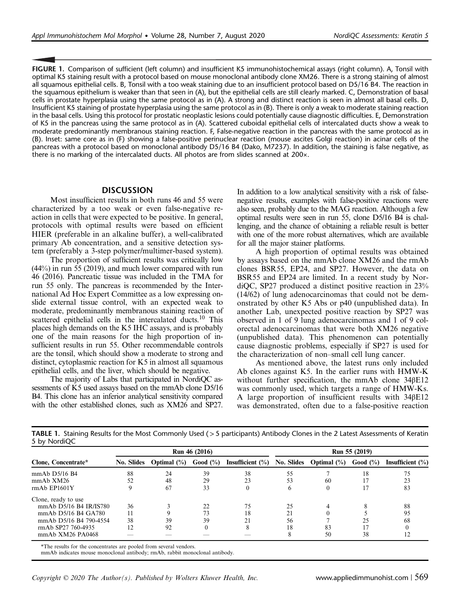FIGURE 1. Comparison of sufficient (left column) and insufficient K5 immunohistochemical assays (right column). A, Tonsil with optimal K5 staining result with a protocol based on mouse monoclonal antibody clone XM26. There is a strong staining of almost all squamous epithelial cells. B, Tonsil with a too weak staining due to an insufficient protocol based on D5/16 B4. The reaction in the squamous epithelium is weaker than that seen in (A), but the epithelial cells are still clearly marked. C, Demonstration of basal cells in prostate hyperplasia using the same protocol as in (A). A strong and distinct reaction is seen in almost all basal cells. D, Insufficient K5 staining of prostate hyperplasia using the same protocol as in (B). There is only a weak to moderate staining reaction in the basal cells. Using this protocol for prostatic neoplastic lesions could potentially cause diagnostic difficulties. E, Demonstration of K5 in the pancreas using the same protocol as in (A). Scattered cuboidal epithelial cells of intercalated ducts show a weak to moderate predominantly membranous staining reaction. F, False-negative reaction in the pancreas with the same protocol as in (B). Inset: same core as in (F) showing a false-positive perinuclear reaction (mouse ascites Golgi reaction) in acinar cells of the pancreas with a protocol based on monoclonal antibody D5/16 B4 (Dako, M7237). In addition, the staining is false negative, as there is no marking of the intercalated ducts. All photos are from slides scanned at 200×.

#### **DISCUSSION**

Most insufficient results in both runs 46 and 55 were characterized by a too weak or even false-negative reaction in cells that were expected to be positive. In general, protocols with optimal results were based on efficient HIER (preferable in an alkaline buffer), a well-calibrated primary Ab concentration, and a sensitive detection system (preferably a 3-step polymer/multimer-based system).

The proportion of sufficient results was critically low (44%) in run 55 (2019), and much lower compared with run 46 (2016). Pancreatic tissue was included in the TMA for run 55 only. The pancreas is recommended by the International Ad Hoc Expert Committee as a low expressing onslide external tissue control, with an expected weak to moderate, predominantly membranous staining reaction of scattered epithelial cells in the intercalated ducts.<sup>10</sup> This places high demands on the K5 IHC assays, and is probably one of the main reasons for the high proportion of insufficient results in run 55. Other recommendable controls are the tonsil, which should show a moderate to strong and distinct, cytoplasmic reaction for K5 in almost all squamous epithelial cells, and the liver, which should be negative.

The majority of Labs that participated in NordiQC assessments of K5 used assays based on the mmAb clone D5/16 B4. This clone has an inferior analytical sensitivity compared with the other established clones, such as XM26 and SP27.

In addition to a low analytical sensitivity with a risk of falsenegative results, examples with false-positive reactions were also seen, probably due to the MAG reaction. Although a few optimal results were seen in run 55, clone D5/16 B4 is challenging, and the chance of obtaining a reliable result is better with one of the more robust alternatives, which are available for all the major stainer platforms.

A high proportion of optimal results was obtained by assays based on the mmAb clone XM26 and the rmAb clones BSR55, EP24, and SP27. However, the data on BSR55 and EP24 are limited. In a recent study by NordiQC, SP27 produced a distinct positive reaction in 23% (14/62) of lung adenocarcinomas that could not be demonstrated by other K5 Abs or p40 (unpublished data). In another Lab, unexpected positive reaction by SP27 was observed in 1 of 9 lung adenocarcinomas and 1 of 9 colorectal adenocarcinomas that were both XM26 negative (unpublished data). This phenomenon can potentially cause diagnostic problems, especially if SP27 is used for the characterization of non–small cell lung cancer.

As mentioned above, the latest runs only included Ab clones against K5. In the earlier runs with HMW-K without further specification, the mmAb clone 34βE12 was commonly used, which targets a range of HMW-Ks. A large proportion of insufficient results with 34βE12 was demonstrated, often due to a false-positive reaction

| <u>J Dy Indicity</u>   |               |                |             |                     |               |                           |          |                      |
|------------------------|---------------|----------------|-------------|---------------------|---------------|---------------------------|----------|----------------------|
| Clone, Concentrate*    | Run 46 (2016) |                |             |                     | Run 55 (2019) |                           |          |                      |
|                        | No. Slides    | Optimal $(\%)$ | Good $(\%)$ | Insufficient $(\%)$ |               | No. Slides Optimal $(\%)$ | Good (%) | Insufficient $(\% )$ |
| $mmAb$ D5/16 B4        | 88            | 24             | 39          | 38                  | 55            |                           | 18       | 75                   |
| mmAb XM26              | 52            | 48             | 29          | 23                  | 53            | 60                        |          | 23                   |
| $rmAb$ EP1601Y         |               | 67             | 33          | $\theta$            | b             |                           |          | 83                   |
| Clone, ready to use    |               |                |             |                     |               |                           |          |                      |
| mmAb D5/16 B4 IR/IS780 | 36            |                | 22          | 75                  | 25            |                           |          | 88                   |
| mmAb D5/16 B4 GA780    | 11            |                | 73          | 18                  | 21            |                           |          | 95                   |
| mmAb D5/16 B4 790-4554 | 38            | 39             | 39          | 21                  | 56            |                           | 25       | 68                   |
| rmAb SP27 760-4935     | 12            | 92             |             | 8                   | 18            | 83                        |          |                      |
| mmAb XM26 PA0468       |               |                |             |                     |               | 50                        | 38       |                      |

TABLE 1. Staining Results for the Most Commonly Used ( >5 participants) Antibody Clones in the 2 Latest Assessments of Keratin 5 by NordiQC

\*The results for the concentrates are pooled from several vendors.

mmAb indicates mouse monoclonal antibody; rmAb, rabbit monoclonal antibody.

Copyright  $\odot$  2020 The Author(s). Published by Wolters Kluwer Health, Inc. www.appliedimmunohist.com | 569